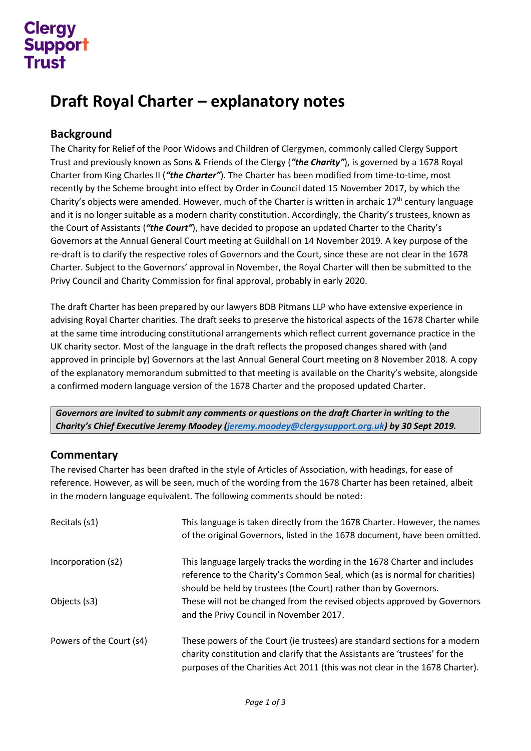## **Clerav Support** Trust

## **Draft Royal Charter – explanatory notes**

## **Background**

The Charity for Relief of the Poor Widows and Children of Clergymen, commonly called Clergy Support Trust and previously known as Sons & Friends of the Clergy (*"the Charity"*), is governed by a 1678 Royal Charter from King Charles II (*"the Charter"*). The Charter has been modified from time-to-time, most recently by the Scheme brought into effect by Order in Council dated 15 November 2017, by which the Charity's objects were amended. However, much of the Charter is written in archaic  $17<sup>th</sup>$  century language and it is no longer suitable as a modern charity constitution. Accordingly, the Charity's trustees, known as the Court of Assistants (*"the Court"*), have decided to propose an updated Charter to the Charity's Governors at the Annual General Court meeting at Guildhall on 14 November 2019. A key purpose of the re-draft is to clarify the respective roles of Governors and the Court, since these are not clear in the 1678 Charter. Subject to the Governors' approval in November, the Royal Charter will then be submitted to the Privy Council and Charity Commission for final approval, probably in early 2020.

The draft Charter has been prepared by our lawyers BDB Pitmans LLP who have extensive experience in advising Royal Charter charities. The draft seeks to preserve the historical aspects of the 1678 Charter while at the same time introducing constitutional arrangements which reflect current governance practice in the UK charity sector. Most of the language in the draft reflects the proposed changes shared with (and approved in principle by) Governors at the last Annual General Court meeting on 8 November 2018. A copy of the explanatory memorandum submitted to that meeting is available on the Charity's website, alongside a confirmed modern language version of the 1678 Charter and the proposed updated Charter.

*Governors are invited to submit any comments or questions on the draft Charter in writing to the Charity's Chief Executive Jeremy Moodey [\(jeremy.moodey@clergysupport.org.uk\)](mailto:jeremy.moodey@clergysupport.org.uk) by 30 Sept 2019.* 

## **Commentary**

The revised Charter has been drafted in the style of Articles of Association, with headings, for ease of reference. However, as will be seen, much of the wording from the 1678 Charter has been retained, albeit in the modern language equivalent. The following comments should be noted:

| Recitals (s1)            | This language is taken directly from the 1678 Charter. However, the names<br>of the original Governors, listed in the 1678 document, have been omitted.                                                                                   |
|--------------------------|-------------------------------------------------------------------------------------------------------------------------------------------------------------------------------------------------------------------------------------------|
| Incorporation (s2)       | This language largely tracks the wording in the 1678 Charter and includes<br>reference to the Charity's Common Seal, which (as is normal for charities)<br>should be held by trustees (the Court) rather than by Governors.               |
| Objects (s3)             | These will not be changed from the revised objects approved by Governors<br>and the Privy Council in November 2017.                                                                                                                       |
| Powers of the Court (s4) | These powers of the Court (ie trustees) are standard sections for a modern<br>charity constitution and clarify that the Assistants are 'trustees' for the<br>purposes of the Charities Act 2011 (this was not clear in the 1678 Charter). |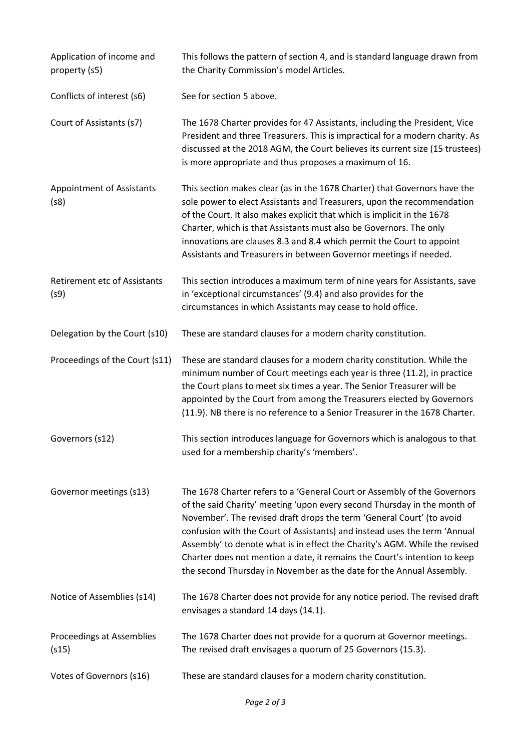| Application of income and<br>property (s5)  | This follows the pattern of section 4, and is standard language drawn from<br>the Charity Commission's model Articles.                                                                                                                                                                                                                                                                                                                                                                                                                        |
|---------------------------------------------|-----------------------------------------------------------------------------------------------------------------------------------------------------------------------------------------------------------------------------------------------------------------------------------------------------------------------------------------------------------------------------------------------------------------------------------------------------------------------------------------------------------------------------------------------|
| Conflicts of interest (s6)                  | See for section 5 above.                                                                                                                                                                                                                                                                                                                                                                                                                                                                                                                      |
| Court of Assistants (s7)                    | The 1678 Charter provides for 47 Assistants, including the President, Vice<br>President and three Treasurers. This is impractical for a modern charity. As<br>discussed at the 2018 AGM, the Court believes its current size (15 trustees)<br>is more appropriate and thus proposes a maximum of 16.                                                                                                                                                                                                                                          |
| <b>Appointment of Assistants</b><br>(s8)    | This section makes clear (as in the 1678 Charter) that Governors have the<br>sole power to elect Assistants and Treasurers, upon the recommendation<br>of the Court. It also makes explicit that which is implicit in the 1678<br>Charter, which is that Assistants must also be Governors. The only<br>innovations are clauses 8.3 and 8.4 which permit the Court to appoint<br>Assistants and Treasurers in between Governor meetings if needed.                                                                                            |
| <b>Retirement etc of Assistants</b><br>(s9) | This section introduces a maximum term of nine years for Assistants, save<br>in 'exceptional circumstances' (9.4) and also provides for the<br>circumstances in which Assistants may cease to hold office.                                                                                                                                                                                                                                                                                                                                    |
| Delegation by the Court (s10)               | These are standard clauses for a modern charity constitution.                                                                                                                                                                                                                                                                                                                                                                                                                                                                                 |
| Proceedings of the Court (s11)              | These are standard clauses for a modern charity constitution. While the<br>minimum number of Court meetings each year is three (11.2), in practice<br>the Court plans to meet six times a year. The Senior Treasurer will be<br>appointed by the Court from among the Treasurers elected by Governors<br>(11.9). NB there is no reference to a Senior Treasurer in the 1678 Charter.                                                                                                                                                          |
| Governors (s12)                             | This section introduces language for Governors which is analogous to that<br>used for a membership charity's 'members'.                                                                                                                                                                                                                                                                                                                                                                                                                       |
| Governor meetings (s13)                     | The 1678 Charter refers to a 'General Court or Assembly of the Governors<br>of the said Charity' meeting 'upon every second Thursday in the month of<br>November'. The revised draft drops the term 'General Court' (to avoid<br>confusion with the Court of Assistants) and instead uses the term 'Annual<br>Assembly' to denote what is in effect the Charity's AGM. While the revised<br>Charter does not mention a date, it remains the Court's intention to keep<br>the second Thursday in November as the date for the Annual Assembly. |
| Notice of Assemblies (s14)                  | The 1678 Charter does not provide for any notice period. The revised draft<br>envisages a standard 14 days (14.1).                                                                                                                                                                                                                                                                                                                                                                                                                            |
| Proceedings at Assemblies<br>(s15)          | The 1678 Charter does not provide for a quorum at Governor meetings.<br>The revised draft envisages a quorum of 25 Governors (15.3).                                                                                                                                                                                                                                                                                                                                                                                                          |
| Votes of Governors (s16)                    | These are standard clauses for a modern charity constitution.                                                                                                                                                                                                                                                                                                                                                                                                                                                                                 |